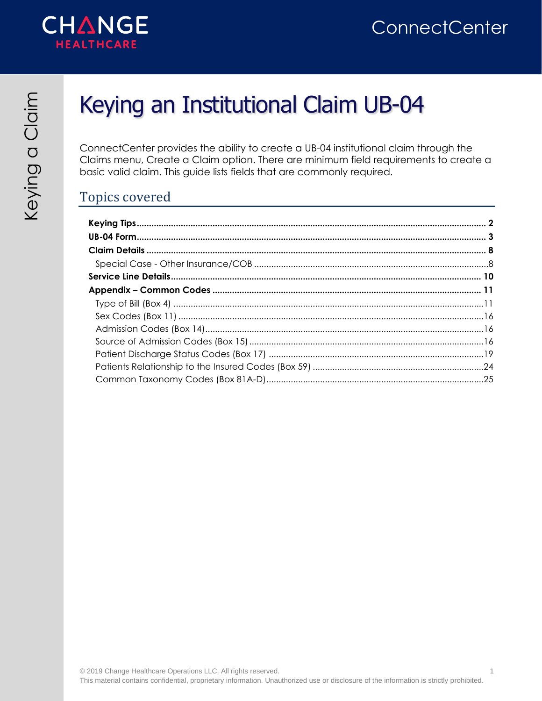



# Keying an Institutional Claim UB-04

ConnectCenter provides the ability to create a UB-04 institutional claim through the Claims menu, Create a Claim option. There are minimum field requirements to create a basic valid claim. This guide lists fields that are commonly required.

### Topics covered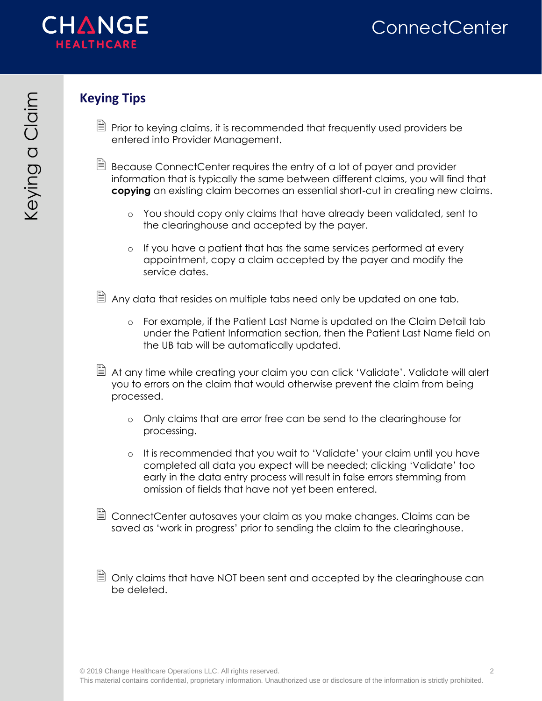

### <span id="page-1-0"></span>**Keying Tips**

- $\Box$  Prior to keying claims, it is recommended that frequently used providers be entered into Provider Management.
- $\Box$  Because ConnectCenter requires the entry of a lot of payer and provider information that is typically the same between different claims, you will find that **copying** an existing claim becomes an essential short-cut in creating new claims.
	- o You should copy only claims that have already been validated, sent to the clearinghouse and accepted by the payer.
	- o If you have a patient that has the same services performed at every appointment, copy a claim accepted by the payer and modify the service dates.
- $\Box$  Any data that resides on multiple tabs need only be updated on one tab.
	- o For example, if the Patient Last Name is updated on the Claim Detail tab under the Patient Information section, then the Patient Last Name field on the UB tab will be automatically updated.
- $\Box$  At any time while creating your claim you can click 'Validate'. Validate will alert you to errors on the claim that would otherwise prevent the claim from being processed.
	- o Only claims that are error free can be send to the clearinghouse for processing.
	- o It is recommended that you wait to 'Validate' your claim until you have completed all data you expect will be needed; clicking 'Validate' too early in the data entry process will result in false errors stemming from omission of fields that have not yet been entered.
- ConnectCenter autosaves your claim as you make changes. Claims can be saved as 'work in progress' prior to sending the claim to the clearinghouse.
- $\Box$  Only claims that have NOT been sent and accepted by the clearinghouse can be deleted.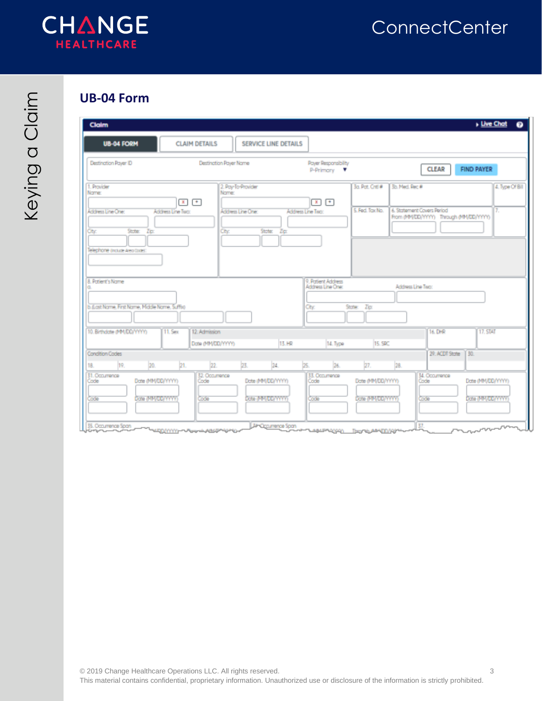

### <span id="page-2-0"></span>**UB-04 Form**

| <b>Claim</b>                                                                                 |                                                          |                                                                                              |                                                     |                                                                      | <b>Live Chat</b><br>$\bullet$          |
|----------------------------------------------------------------------------------------------|----------------------------------------------------------|----------------------------------------------------------------------------------------------|-----------------------------------------------------|----------------------------------------------------------------------|----------------------------------------|
| <b>UB-04 FORM</b>                                                                            | <b>CLAIM DETAILS</b>                                     | <b>SERVICE LINE DETAILS</b>                                                                  |                                                     |                                                                      |                                        |
| Destination Payer ID                                                                         | Destination Payer Name                                   | Payer Responsibility<br>P-Primary V                                                          |                                                     | <b>CLEAR</b>                                                         | <b>FIND PAYER</b>                      |
| 1. Provider<br>Name:                                                                         | 2. Pay-To-Provider<br>Name:<br>$\mathbf{I}$ $\mathbf{t}$ | $x$ $+$                                                                                      | 3a. Pat. Criti #<br>3b. Med. Rec #                  |                                                                      | 4. Type Of Bill                        |
| Address Line One:<br>State:<br>Cty:<br>Zip:<br>Telephone (include Area Code):                | Address Line Two:<br>Address Line One:<br>City:          | Address Line Two:<br>State:<br>Zp:                                                           | 5. Fed. Tax No.                                     | 6. Statement Covers Period<br>From (MM/DD/YYYY) Through (MM/DD/YYYY) | 7.                                     |
| 8. Patient's Name<br>b.d.ast Name, First Name, Middle Name, Suffix)                          |                                                          | 9. Patient Address<br>Address Line One:<br>City                                              | Zip:<br>State:                                      | Address Line Two:                                                    |                                        |
| 10. Birthclate (MM/DD/YYYY)                                                                  | <b>11. Sex</b><br>12. Admission<br>Date (MM/DD/YYYY)     | 13. HR<br>14. Type                                                                           | 15. SRC                                             | 16, DHR                                                              | <b>17, STAT</b>                        |
| <b>Condition Codes</b>                                                                       |                                                          |                                                                                              |                                                     | 29. ACDT State                                                       | 130.                                   |
| 19.<br>20.<br>18.<br>31. Occurrence<br>Date (MMDD/YYYY)<br>Code<br>Date (MM/DD/YYYY)<br>Code | 21.<br>22.<br>23.<br>32. Occurrence<br>Code<br>Code      | 24.<br>26.<br>25.<br>33. Occurrence<br>Date (MMDD/YYYY)<br>Code<br>Date (MM/DD/YYYY)<br>Code | 28.<br>27.<br>Date (MMDD/YYYY)<br>Date (MM/DD/YYYY) | 34. Occurrence<br>Code<br>Code                                       | Date (MM/DD/YYYY)<br>Date (MM/DD/YYYY) |

<u>νεργγγγ</u>–~Α<sub>ΡΡ</sub>-ωγερ They his A44-(DD/A) سيد 120500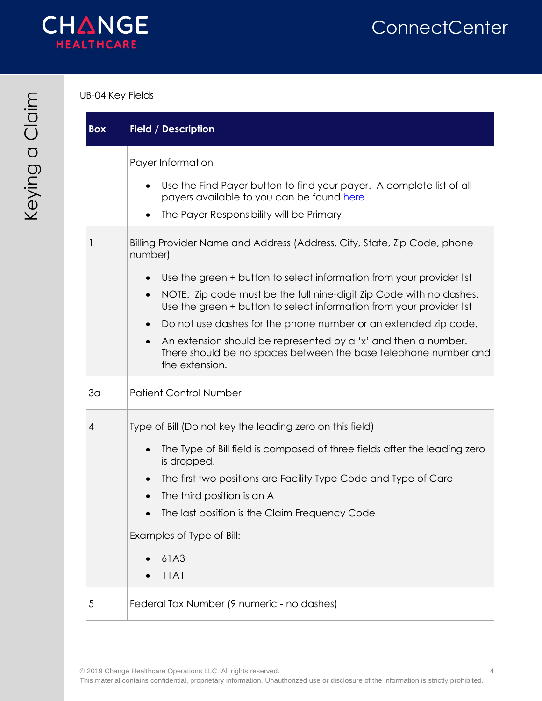

#### UB-04 Key Fields

| <b>Box</b>     | <b>Field / Description</b>                                                                                                                          |
|----------------|-----------------------------------------------------------------------------------------------------------------------------------------------------|
|                | Payer Information                                                                                                                                   |
|                | Use the Find Payer button to find your payer. A complete list of all<br>payers available to you can be found here.                                  |
|                | The Payer Responsibility will be Primary                                                                                                            |
| 1              | Billing Provider Name and Address (Address, City, State, Zip Code, phone<br>number)                                                                 |
|                | Use the green + button to select information from your provider list                                                                                |
|                | NOTE: Zip code must be the full nine-digit Zip Code with no dashes.<br>Use the green + button to select information from your provider list         |
|                | Do not use dashes for the phone number or an extended zip code.                                                                                     |
|                | An extension should be represented by a 'x' and then a number.<br>There should be no spaces between the base telephone number and<br>the extension. |
| 3 <sub>a</sub> | <b>Patient Control Number</b>                                                                                                                       |
| 4              | Type of Bill (Do not key the leading zero on this field)                                                                                            |
|                | The Type of Bill field is composed of three fields after the leading zero<br>is dropped.                                                            |
|                | The first two positions are Facility Type Code and Type of Care                                                                                     |
|                | The third position is an A                                                                                                                          |
|                | The last position is the Claim Frequency Code                                                                                                       |
|                | Examples of Type of Bill:                                                                                                                           |
|                | 61A3                                                                                                                                                |
|                | 11A1                                                                                                                                                |
| 5              | Federal Tax Number (9 numeric - no dashes)                                                                                                          |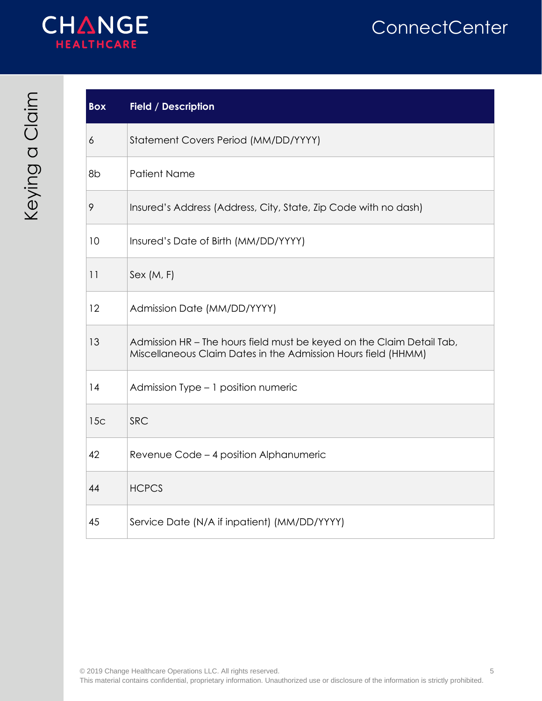

| <b>Box</b> | <b>Field / Description</b>                                                                                                             |
|------------|----------------------------------------------------------------------------------------------------------------------------------------|
| 6          | Statement Covers Period (MM/DD/YYYY)                                                                                                   |
| 8b         | <b>Patient Name</b>                                                                                                                    |
| 9          | Insured's Address (Address, City, State, Zip Code with no dash)                                                                        |
| 10         | Insured's Date of Birth (MM/DD/YYYY)                                                                                                   |
| 11         | Sex (M, F)                                                                                                                             |
| 12         | Admission Date (MM/DD/YYYY)                                                                                                            |
| 13         | Admission HR - The hours field must be keyed on the Claim Detail Tab,<br>Miscellaneous Claim Dates in the Admission Hours field (HHMM) |
| 14         | Admission Type - 1 position numeric                                                                                                    |
| 15c        | <b>SRC</b>                                                                                                                             |
| 42         | Revenue Code - 4 position Alphanumeric                                                                                                 |
| 44         | <b>HCPCS</b>                                                                                                                           |
| 45         | Service Date (N/A if inpatient) (MM/DD/YYYY)                                                                                           |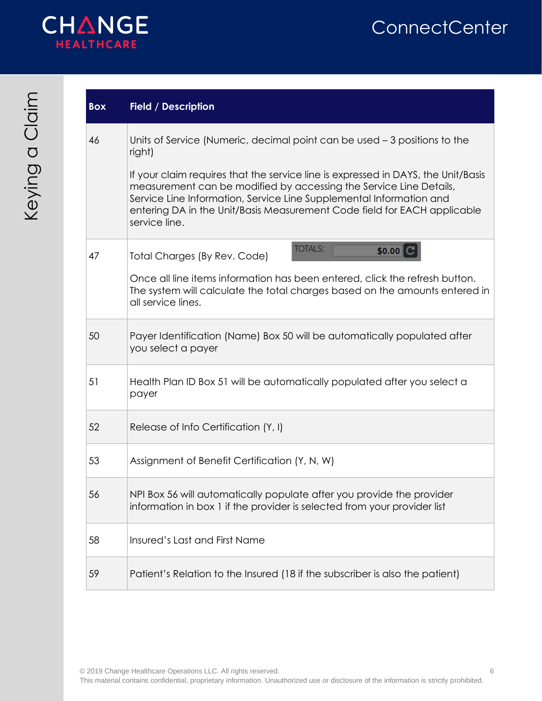

| <b>Box</b> | <b>Field / Description</b>                                                                                                                                                                                                                                                                                                  |
|------------|-----------------------------------------------------------------------------------------------------------------------------------------------------------------------------------------------------------------------------------------------------------------------------------------------------------------------------|
| 46         | Units of Service (Numeric, decimal point can be used $-3$ positions to the<br>right)                                                                                                                                                                                                                                        |
|            | If your claim requires that the service line is expressed in DAYS, the Unit/Basis<br>measurement can be modified by accessing the Service Line Details,<br>Service Line Information, Service Line Supplemental Information and<br>entering DA in the Unit/Basis Measurement Code field for EACH applicable<br>service line. |
| 47         | <b>TOTALS:</b><br>\$0.00<br>Total Charges (By Rev. Code)                                                                                                                                                                                                                                                                    |
|            | Once all line items information has been entered, click the refresh button.<br>The system will calculate the total charges based on the amounts entered in<br>all service lines.                                                                                                                                            |
| 50         | Payer Identification (Name) Box 50 will be automatically populated after<br>you select a payer                                                                                                                                                                                                                              |
| 51         | Health Plan ID Box 51 will be automatically populated after you select a<br>payer                                                                                                                                                                                                                                           |
| 52         | Release of Info Certification (Y, I)                                                                                                                                                                                                                                                                                        |
| 53         | Assignment of Benefit Certification (Y, N, W)                                                                                                                                                                                                                                                                               |
| 56         | NPI Box 56 will automatically populate after you provide the provider<br>information in box 1 if the provider is selected from your provider list                                                                                                                                                                           |
| 58         | Insured's Last and First Name                                                                                                                                                                                                                                                                                               |
| 59         | Patient's Relation to the Insured (18 if the subscriber is also the patient)                                                                                                                                                                                                                                                |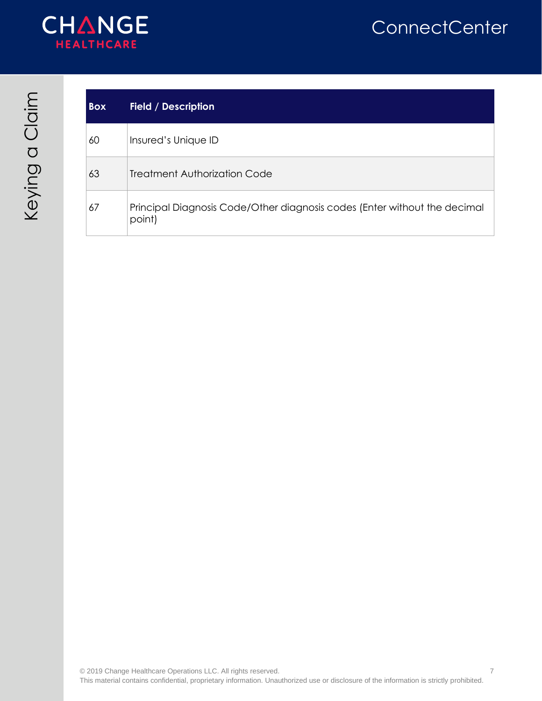



| <b>Box</b> | <b>Field / Description</b>                                                          |
|------------|-------------------------------------------------------------------------------------|
| 60         | Insured's Unique ID                                                                 |
| 63         | <b>Treatment Authorization Code</b>                                                 |
| 67         | Principal Diagnosis Code/Other diagnosis codes (Enter without the decimal<br>point) |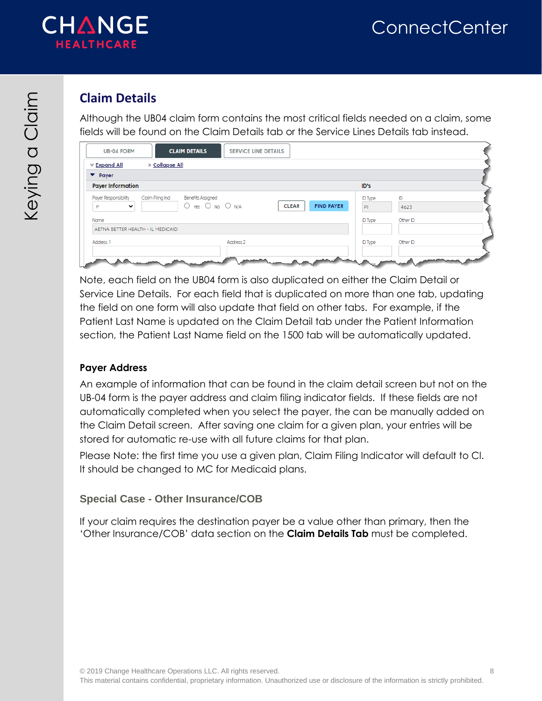

## <span id="page-7-0"></span>**Claim Details**

Although the UB04 claim form contains the most critical fields needed on a claim, some fields will be found on the Claim Details tab or the Service Lines Details tab instead.

| » Collapse All<br>≫ Expand All                               |                                                    |                                   |                      |            |
|--------------------------------------------------------------|----------------------------------------------------|-----------------------------------|----------------------|------------|
| $\blacktriangleright$ Payer                                  |                                                    |                                   |                      |            |
| <b>Payer Information</b>                                     |                                                    |                                   | ID's                 |            |
| Claim Filing Ind<br>Payer Responsibility<br>$\check{ }$<br>Þ | <b>Benefits Assigned</b><br>$O$ Yes $O$ No $O$ N/A | <b>FIND PAYER</b><br><b>CLEAR</b> | <b>ID Type</b><br>PI | ID<br>4623 |
| Name<br>AETNA BETTER HEALTH - IL MEDICAID                    |                                                    |                                   | <b>ID Type</b>       | Other ID   |
| Address 1                                                    | Address <sub>2</sub>                               |                                   | <b>ID Type</b>       | Other ID   |

Note, each field on the UB04 form is also duplicated on either the Claim Detail or Service Line Details. For each field that is duplicated on more than one tab, updating the field on one form will also update that field on other tabs. For example, if the Patient Last Name is updated on the Claim Detail tab under the Patient Information section, the Patient Last Name field on the 1500 tab will be automatically updated.

#### **Payer Address**

An example of information that can be found in the claim detail screen but not on the UB-04 form is the payer address and claim filing indicator fields. If these fields are not automatically completed when you select the payer, the can be manually added on the Claim Detail screen. After saving one claim for a given plan, your entries will be stored for automatic re-use with all future claims for that plan.

Please Note: the first time you use a given plan, Claim Filing Indicator will default to Cl. It should be changed to MC for Medicaid plans.

#### <span id="page-7-1"></span>**Special Case - Other Insurance/COB**

If your claim requires the destination payer be a value other than primary, then the 'Other Insurance/COB' data section on the **Claim Details Tab** must be completed.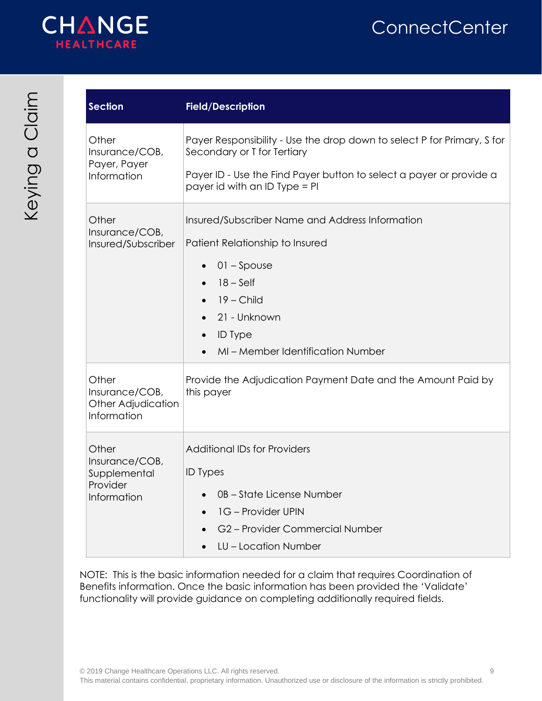

| <b>Section</b>                                                     | <b>Field/Description</b>                                                                                                                                                                                                                                    |
|--------------------------------------------------------------------|-------------------------------------------------------------------------------------------------------------------------------------------------------------------------------------------------------------------------------------------------------------|
| Other<br>Insurance/COB,<br>Payer, Payer<br>Information             | Payer Responsibility - Use the drop down to select P for Primary, S for<br>Secondary or T for Tertiary<br>Payer ID - Use the Find Payer button to select a payer or provide a<br>payer id with an ID Type = PI                                              |
| Other<br>Insurance/COB,<br>Insured/Subscriber                      | Insured/Subscriber Name and Address Information<br>Patient Relationship to Insured<br>$01 -$ Spouse<br>$18 - Self$<br>$\bullet$<br>$19$ – Child<br>$\bullet$<br>21 - Unknown<br><b>ID</b> Type<br>$\bullet$<br>MI-Member Identification Number<br>$\bullet$ |
| Other<br>Insurance/COB,<br>Other Adjudication<br>Information       | Provide the Adjudication Payment Date and the Amount Paid by<br>this payer                                                                                                                                                                                  |
| Other<br>Insurance/COB,<br>Supplemental<br>Provider<br>Information | <b>Additional IDs for Providers</b><br><b>ID</b> Types<br>0B - State License Number<br>1G - Provider UPIN<br>G2-Provider Commercial Number<br>LU - Location Number                                                                                          |

NOTE: This is the basic information needed for a claim that requires Coordination of Benefits information. Once the basic information has been provided the 'Validate' functionality will provide guidance on completing additionally required fields.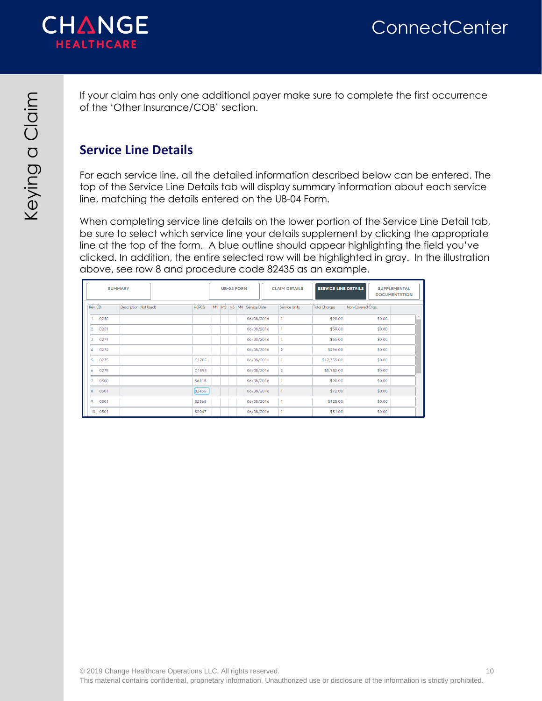

If your claim has only one additional payer make sure to complete the first occurrence of the 'Other Insurance/COB' section.

### <span id="page-9-0"></span>**Service Line Details**

For each service line, all the detailed information described below can be entered. The top of the Service Line Details tab will display summary information about each service line, matching the details entered on the UB-04 Form.

When completing service line details on the lower portion of the Service Line Detail tab, be sure to select which service line your details supplement by clicking the appropriate line at the top of the form. A blue outline should appear highlighting the field you've clicked. In addition, the entire selected row will be highlighted in gray. In the illustration above, see row 8 and procedure code 82435 as an example.

|                        | <b>SUMMARY</b>         |              |  | <b>UB-04 FORM</b><br><b>CLAIM DETAILS</b> |  | <b>SERVICE LINE DETAILS</b>      |                | <b>SUPPLEMENTAL</b><br><b>DOCUMENTATION</b> |                   |  |
|------------------------|------------------------|--------------|--|-------------------------------------------|--|----------------------------------|----------------|---------------------------------------------|-------------------|--|
| Rev. CD.               | Description (Not Used) | <b>HCPCS</b> |  |                                           |  | M1   M2   M3   M4   Service Date | Service Units  | <b>Total Charges</b>                        | Non-Covered Chgs. |  |
| 1.<br>0250             |                        |              |  |                                           |  | 06/08/2016                       | $\mathbf{1}$   | \$90.00                                     | \$0.00            |  |
| 2.<br>0251             |                        |              |  |                                           |  | 06/08/2016                       |                | \$39.00                                     | \$0.00            |  |
| 3.<br>0271             |                        |              |  |                                           |  | 06/08/2016                       |                | \$65.00                                     | \$0.00            |  |
| 4.<br>0272             |                        |              |  |                                           |  | 06/08/2016                       | $\overline{2}$ | \$296.00                                    | \$0.00            |  |
| 5.<br>0275             |                        | C1785        |  |                                           |  | 06/08/2016                       |                | \$17,335.00                                 | \$0.00            |  |
| 6.<br>0275             |                        | C1898        |  |                                           |  | 06/08/2016                       | $\overline{a}$ | \$5,750.00                                  | \$0.00            |  |
| 7 <sup>1</sup><br>0300 |                        | 36415        |  |                                           |  | 06/08/2016                       |                | \$20.00                                     | \$0.00            |  |
| 8.<br>0301             |                        | 82435        |  |                                           |  | 06/08/2016                       |                | \$72.00                                     | \$0.00            |  |
| 9.<br>0301             |                        | 82565        |  |                                           |  | 06/08/2016                       | 1              | \$125.00                                    | \$0.00            |  |
| 10. 0301               |                        | 82947        |  |                                           |  | 06/08/2016                       |                | \$51.00                                     | \$0.00            |  |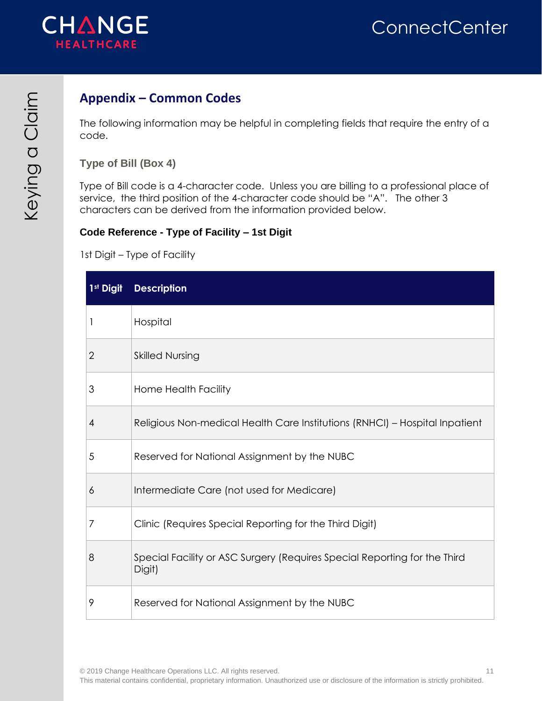

### <span id="page-10-0"></span>**Appendix – Common Codes**

The following information may be helpful in completing fields that require the entry of a code.

<span id="page-10-1"></span>**Type of Bill (Box 4)**

Type of Bill code is a 4-character code. Unless you are billing to a professional place of service, the third position of the 4-character code should be "A". The other 3 characters can be derived from the information provided below.

#### **Code Reference - Type of Facility – 1st Digit**

1st Digit – Type of Facility

| 1 <sup>st</sup> Digit | <b>Description</b>                                                                  |
|-----------------------|-------------------------------------------------------------------------------------|
| $\mathbf{I}$          | Hospital                                                                            |
| $\overline{2}$        | <b>Skilled Nursing</b>                                                              |
| 3                     | Home Health Facility                                                                |
| 4                     | Religious Non-medical Health Care Institutions (RNHCI) - Hospital Inpatient         |
| 5                     | Reserved for National Assignment by the NUBC                                        |
| 6                     | Intermediate Care (not used for Medicare)                                           |
| 7                     | Clinic (Requires Special Reporting for the Third Digit)                             |
| 8                     | Special Facility or ASC Surgery (Requires Special Reporting for the Third<br>Digit) |
| 9                     | Reserved for National Assignment by the NUBC                                        |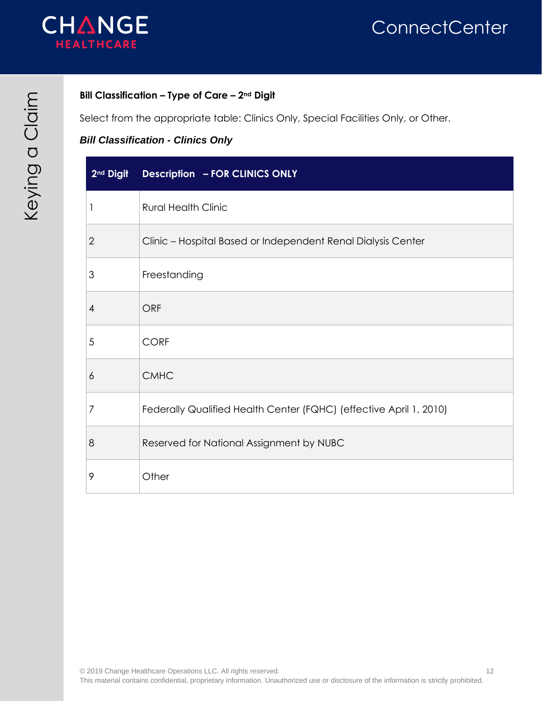

#### **Bill Classification – Type of Care – 2nd Digit**

Select from the appropriate table: Clinics Only, Special Facilities Only, or Other.

#### *Bill Classification - Clinics Only*

| 2 <sup>nd</sup> Digit | <b>Description - FOR CLINICS ONLY</b>                              |
|-----------------------|--------------------------------------------------------------------|
| 1                     | <b>Rural Health Clinic</b>                                         |
| $\overline{2}$        | Clinic - Hospital Based or Independent Renal Dialysis Center       |
| 3                     | Freestanding                                                       |
| 4                     | <b>ORF</b>                                                         |
| 5                     | <b>CORF</b>                                                        |
| 6                     | <b>CMHC</b>                                                        |
| 7                     | Federally Qualified Health Center (FQHC) (effective April 1, 2010) |
| 8                     | Reserved for National Assignment by NUBC                           |
| 9                     | Other                                                              |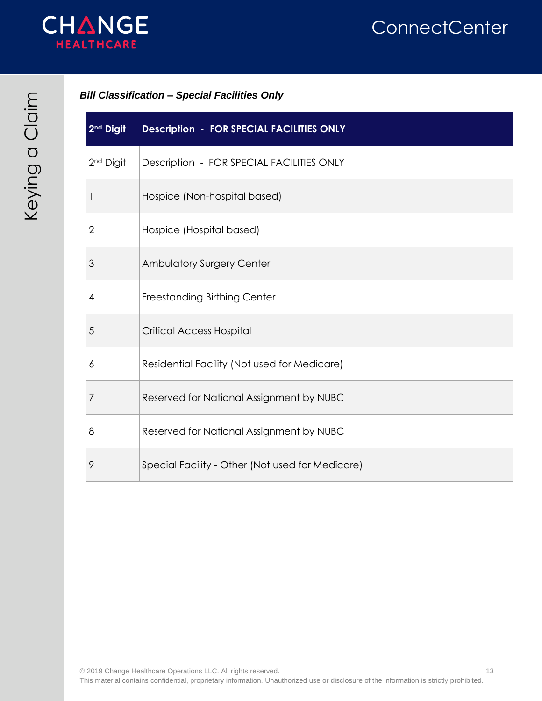

#### *Bill Classification – Special Facilities Only*

| 2 <sup>nd</sup> Digit | <b>Description - FOR SPECIAL FACILITIES ONLY</b> |
|-----------------------|--------------------------------------------------|
| 2 <sup>nd</sup> Digit | Description - FOR SPECIAL FACILITIES ONLY        |
| 1                     | Hospice (Non-hospital based)                     |
| 2                     | Hospice (Hospital based)                         |
| 3                     | Ambulatory Surgery Center                        |
| $\overline{4}$        | Freestanding Birthing Center                     |
| 5                     | <b>Critical Access Hospital</b>                  |
| 6                     | Residential Facility (Not used for Medicare)     |
| 7                     | Reserved for National Assignment by NUBC         |
| 8                     | Reserved for National Assignment by NUBC         |
| 9                     | Special Facility - Other (Not used for Medicare) |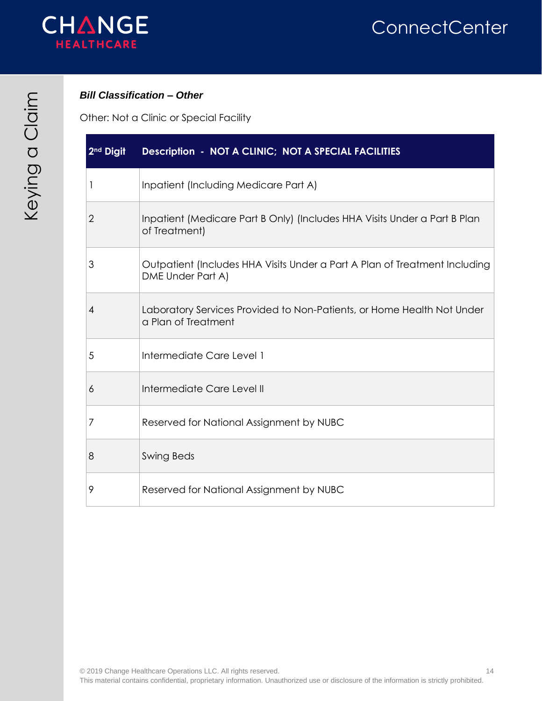

#### *Bill Classification – Other*

Other: Not a Clinic or Special Facility

| 2 <sup>nd</sup> Digit | Description - NOT A CLINIC; NOT A SPECIAL FACILITIES                                            |
|-----------------------|-------------------------------------------------------------------------------------------------|
| 1                     | Inpatient (Including Medicare Part A)                                                           |
| $\overline{2}$        | Inpatient (Medicare Part B Only) (Includes HHA Visits Under a Part B Plan<br>of Treatment)      |
| 3                     | Outpatient (Includes HHA Visits Under a Part A Plan of Treatment Including<br>DME Under Part A) |
| 4                     | Laboratory Services Provided to Non-Patients, or Home Health Not Under<br>a Plan of Treatment   |
| 5                     | Intermediate Care Level 1                                                                       |
| 6                     | Intermediate Care Level II                                                                      |
| 7                     | Reserved for National Assignment by NUBC                                                        |
| 8                     | <b>Swing Beds</b>                                                                               |
| 9                     | Reserved for National Assignment by NUBC                                                        |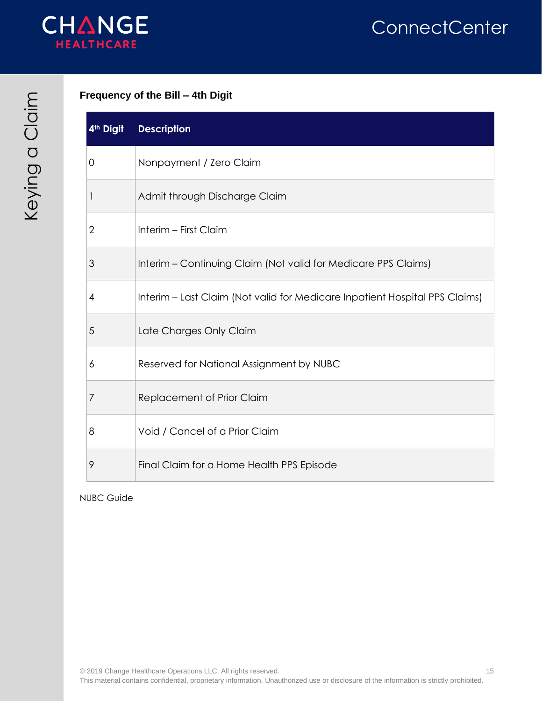

#### **Frequency of the Bill – 4th Digit**

| 4 <sup>th</sup> Digit | <b>Description</b>                                                          |
|-----------------------|-----------------------------------------------------------------------------|
| 0                     | Nonpayment / Zero Claim                                                     |
| 1                     | Admit through Discharge Claim                                               |
| $\mathbf{2}$          | Interim - First Claim                                                       |
| 3                     | Interim – Continuing Claim (Not valid for Medicare PPS Claims)              |
| 4                     | Interim – Last Claim (Not valid for Medicare Inpatient Hospital PPS Claims) |
| 5                     | Late Charges Only Claim                                                     |
| 6                     | Reserved for National Assignment by NUBC                                    |
| 7                     | Replacement of Prior Claim                                                  |
| 8                     | Void / Cancel of a Prior Claim                                              |
| 9                     | Final Claim for a Home Health PPS Episode                                   |

NUBC Guide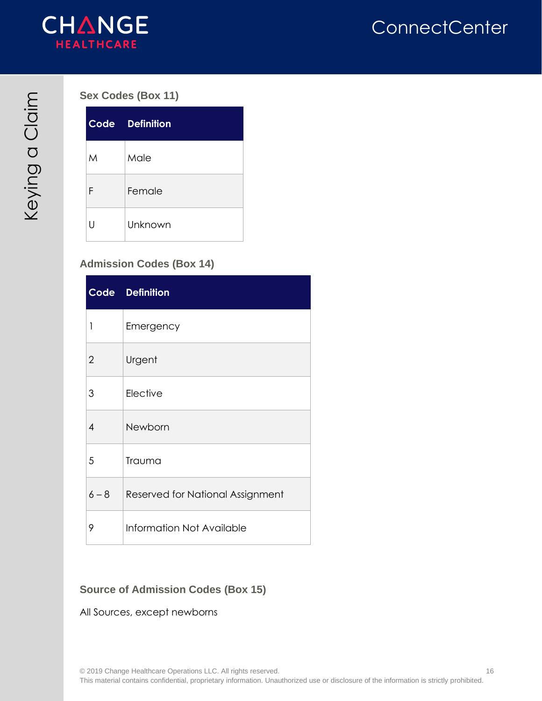

#### <span id="page-15-0"></span>**Sex Codes (Box 11)**

|   | <b>Code Definition</b> |
|---|------------------------|
| M | Male                   |
| F | Female                 |
| П | Unknown                |

#### <span id="page-15-1"></span>**Admission Codes (Box 14)**

|                | Code Definition                  |
|----------------|----------------------------------|
| 1              | Emergency                        |
| $\overline{2}$ | Urgent                           |
| 3              | Elective                         |
| 4              | Newborn                          |
| 5              | Trauma                           |
| $6 - 8$        | Reserved for National Assignment |
| 9              | Information Not Available        |

#### <span id="page-15-2"></span>**Source of Admission Codes (Box 15)**

#### All Sources, except newborns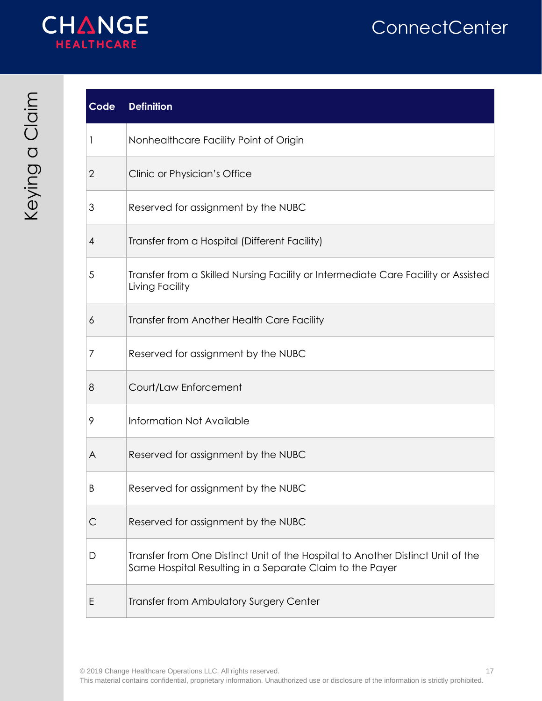

## **Code Definition**

| 1              | Nonhealthcare Facility Point of Origin                                                                                                      |
|----------------|---------------------------------------------------------------------------------------------------------------------------------------------|
| $\overline{2}$ | Clinic or Physician's Office                                                                                                                |
| 3              | Reserved for assignment by the NUBC                                                                                                         |
| 4              | Transfer from a Hospital (Different Facility)                                                                                               |
| 5              | Transfer from a Skilled Nursing Facility or Intermediate Care Facility or Assisted<br>Living Facility                                       |
| 6              | Transfer from Another Health Care Facility                                                                                                  |
| 7              | Reserved for assignment by the NUBC                                                                                                         |
| 8              | Court/Law Enforcement                                                                                                                       |
| 9              | Information Not Available                                                                                                                   |
| A              | Reserved for assignment by the NUBC                                                                                                         |
| B              | Reserved for assignment by the NUBC                                                                                                         |
| C              | Reserved for assignment by the NUBC                                                                                                         |
| D              | Transfer from One Distinct Unit of the Hospital to Another Distinct Unit of the<br>Same Hospital Resulting in a Separate Claim to the Payer |
| Ε              | Transfer from Ambulatory Surgery Center                                                                                                     |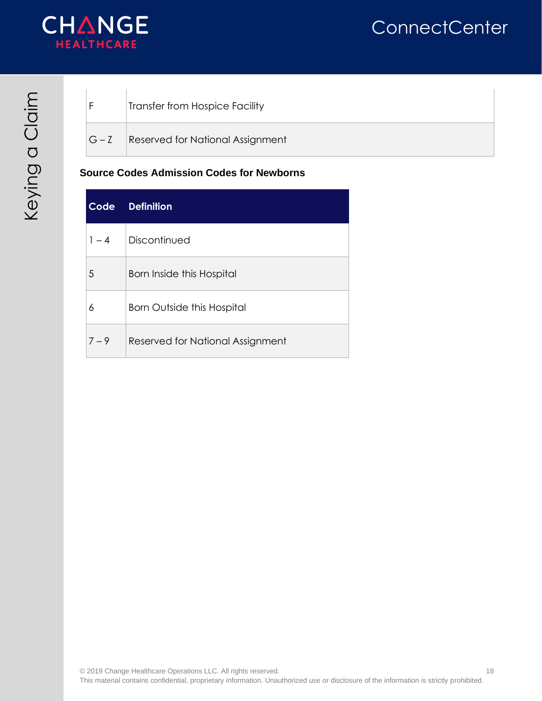

|           | Transfer from Hospice Facility          |
|-----------|-----------------------------------------|
| $ G - Z $ | <b>Reserved for National Assignment</b> |

#### **Source Codes Admission Codes for Newborns**

| Code    | <b>Definition</b>                |
|---------|----------------------------------|
| $1 - 4$ | Discontinued                     |
| 5       | <b>Born Inside this Hospital</b> |
| 6       | Born Outside this Hospital       |
| $7 - 9$ | Reserved for National Assignment |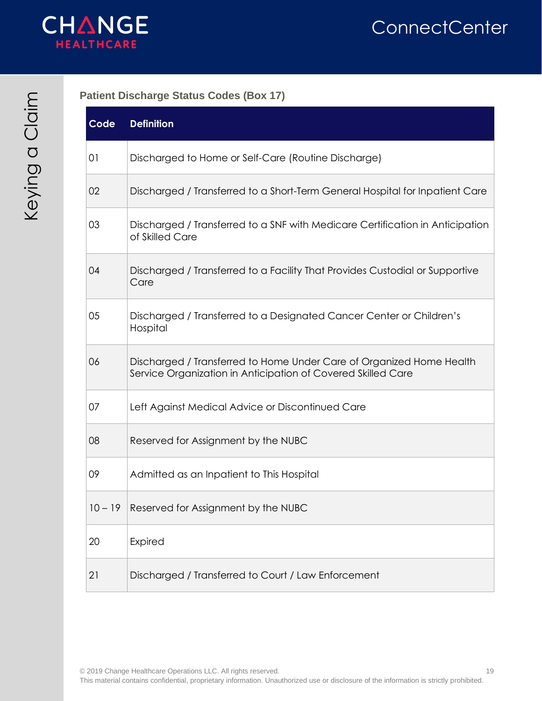

<span id="page-18-0"></span>**Patient Discharge Status Codes (Box 17)**

| Code      | <b>Definition</b>                                                                                                                    |
|-----------|--------------------------------------------------------------------------------------------------------------------------------------|
| 01        | Discharged to Home or Self-Care (Routine Discharge)                                                                                  |
| 02        | Discharged / Transferred to a Short-Term General Hospital for Inpatient Care                                                         |
| 03        | Discharged / Transferred to a SNF with Medicare Certification in Anticipation<br>of Skilled Care                                     |
| 04        | Discharged / Transferred to a Facility That Provides Custodial or Supportive<br>Care                                                 |
| 05        | Discharged / Transferred to a Designated Cancer Center or Children's<br>Hospital                                                     |
| 06        | Discharged / Transferred to Home Under Care of Organized Home Health<br>Service Organization in Anticipation of Covered Skilled Care |
| 07        | Left Against Medical Advice or Discontinued Care                                                                                     |
| 08        | Reserved for Assignment by the NUBC                                                                                                  |
| 09        | Admitted as an Inpatient to This Hospital                                                                                            |
| $10 - 19$ | Reserved for Assignment by the NUBC                                                                                                  |
| 20        | Expired                                                                                                                              |
| 21        | Discharged / Transferred to Court / Law Enforcement                                                                                  |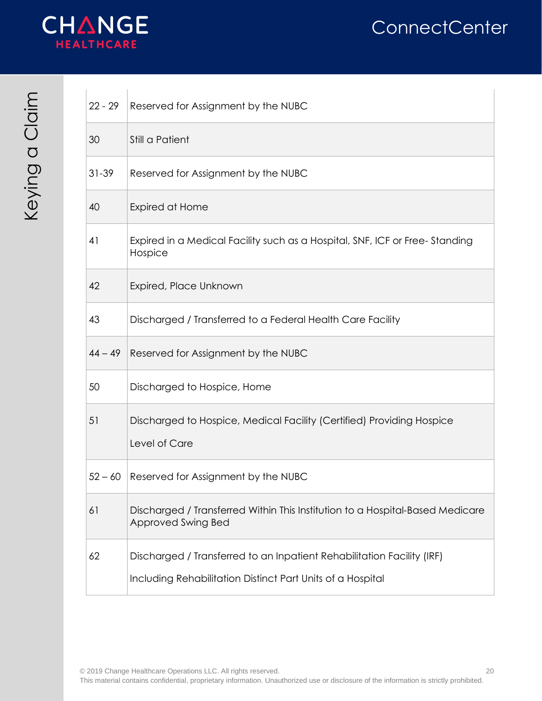

| $22 - 29$ | Reserved for Assignment by the NUBC                                                                                                  |
|-----------|--------------------------------------------------------------------------------------------------------------------------------------|
| 30        | Still a Patient                                                                                                                      |
| $31 - 39$ | Reserved for Assignment by the NUBC                                                                                                  |
| 40        | Expired at Home                                                                                                                      |
| 41        | Expired in a Medical Facility such as a Hospital, SNF, ICF or Free-Standing<br>Hospice                                               |
| 42        | Expired, Place Unknown                                                                                                               |
| 43        | Discharged / Transferred to a Federal Health Care Facility                                                                           |
| $44 - 49$ | Reserved for Assignment by the NUBC                                                                                                  |
| 50        | Discharged to Hospice, Home                                                                                                          |
| 51        | Discharged to Hospice, Medical Facility (Certified) Providing Hospice<br>Level of Care                                               |
| $52 - 60$ | Reserved for Assignment by the NUBC                                                                                                  |
| 61        | Discharged / Transferred Within This Institution to a Hospital-Based Medicare<br>Approved Swing Bed                                  |
| 62        | Discharged / Transferred to an Inpatient Rehabilitation Facility (IRF)<br>Including Rehabilitation Distinct Part Units of a Hospital |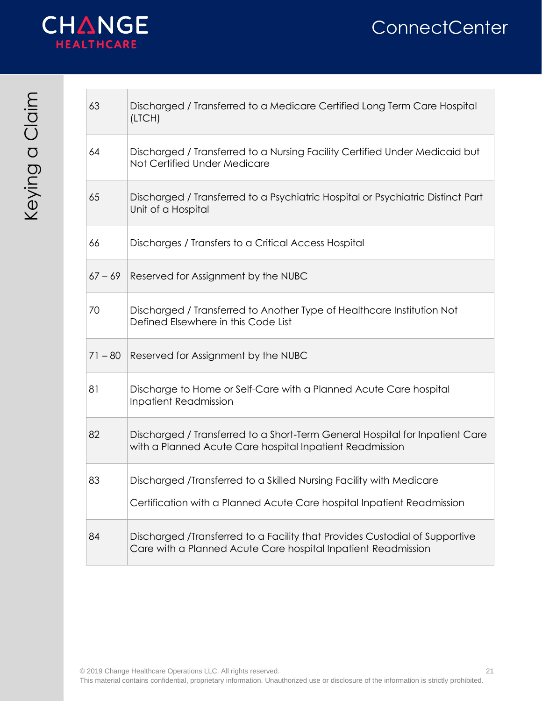



| 63        | Discharged / Transferred to a Medicare Certified Long Term Care Hospital<br>(LTCH)                                                            |
|-----------|-----------------------------------------------------------------------------------------------------------------------------------------------|
| 64        | Discharged / Transferred to a Nursing Facility Certified Under Medicaid but<br>Not Certified Under Medicare                                   |
| 65        | Discharged / Transferred to a Psychiatric Hospital or Psychiatric Distinct Part<br>Unit of a Hospital                                         |
| 66        | Discharges / Transfers to a Critical Access Hospital                                                                                          |
| $67 - 69$ | Reserved for Assignment by the NUBC                                                                                                           |
| 70        | Discharged / Transferred to Another Type of Healthcare Institution Not<br>Defined Elsewhere in this Code List                                 |
| $71 - 80$ | Reserved for Assignment by the NUBC                                                                                                           |
| 81        | Discharge to Home or Self-Care with a Planned Acute Care hospital<br><b>Inpatient Readmission</b>                                             |
| 82        | Discharged / Transferred to a Short-Term General Hospital for Inpatient Care<br>with a Planned Acute Care hospital Inpatient Readmission      |
| 83        | Discharged /Transferred to a Skilled Nursing Facility with Medicare<br>Certification with a Planned Acute Care hospital Inpatient Readmission |
| 84        | Discharged /Transferred to a Facility that Provides Custodial of Supportive<br>Care with a Planned Acute Care hospital Inpatient Readmission  |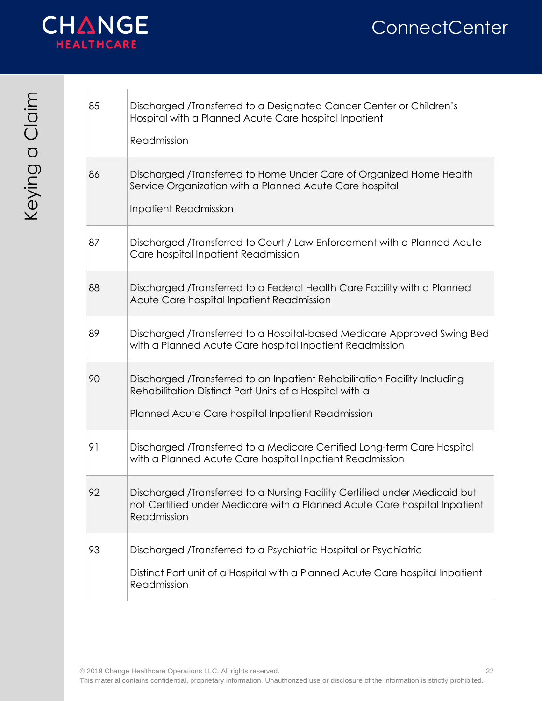

| 85 | Discharged /Transferred to a Designated Cancer Center or Children's<br>Hospital with a Planned Acute Care hospital Inpatient<br>Readmission                                               |
|----|-------------------------------------------------------------------------------------------------------------------------------------------------------------------------------------------|
| 86 | Discharged /Transferred to Home Under Care of Organized Home Health<br>Service Organization with a Planned Acute Care hospital<br><b>Inpatient Readmission</b>                            |
| 87 | Discharged /Transferred to Court / Law Enforcement with a Planned Acute<br>Care hospital Inpatient Readmission                                                                            |
| 88 | Discharged /Transferred to a Federal Health Care Facility with a Planned<br>Acute Care hospital Inpatient Readmission                                                                     |
| 89 | Discharged /Transferred to a Hospital-based Medicare Approved Swing Bed<br>with a Planned Acute Care hospital Inpatient Readmission                                                       |
| 90 | Discharged /Transferred to an Inpatient Rehabilitation Facility Including<br>Rehabilitation Distinct Part Units of a Hospital with a<br>Planned Acute Care hospital Inpatient Readmission |
| 91 | Discharged /Transferred to a Medicare Certified Long-term Care Hospital<br>with a Planned Acute Care hospital Inpatient Readmission                                                       |
| 92 | Discharged /Transferred to a Nursing Facility Certified under Medicaid but<br>not Certified under Medicare with a Planned Acute Care hospital Inpatient<br>Readmission                    |
| 93 | Discharged /Transferred to a Psychiatric Hospital or Psychiatric<br>Distinct Part unit of a Hospital with a Planned Acute Care hospital Inpatient<br>Readmission                          |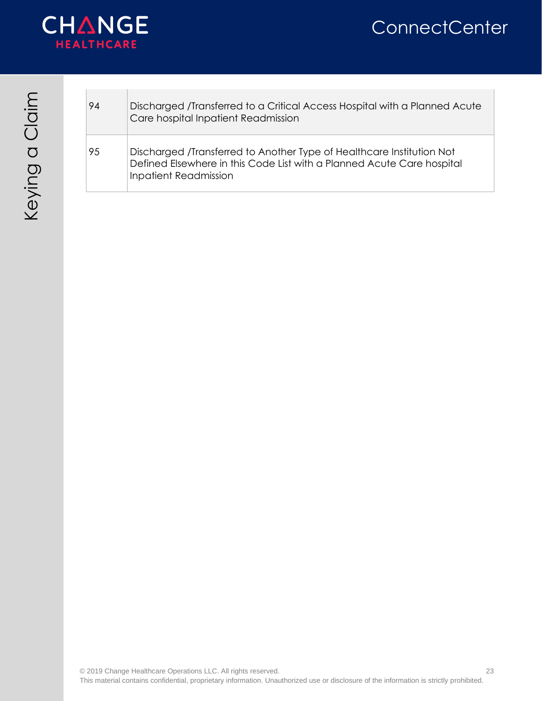

| 94 | Discharged /Transferred to a Critical Access Hospital with a Planned Acute<br>Care hospital Inpatient Readmission                                                               |
|----|---------------------------------------------------------------------------------------------------------------------------------------------------------------------------------|
| 95 | Discharged /Transferred to Another Type of Healthcare Institution Not<br>Defined Elsewhere in this Code List with a Planned Acute Care hospital<br><b>Inpatient Readmission</b> |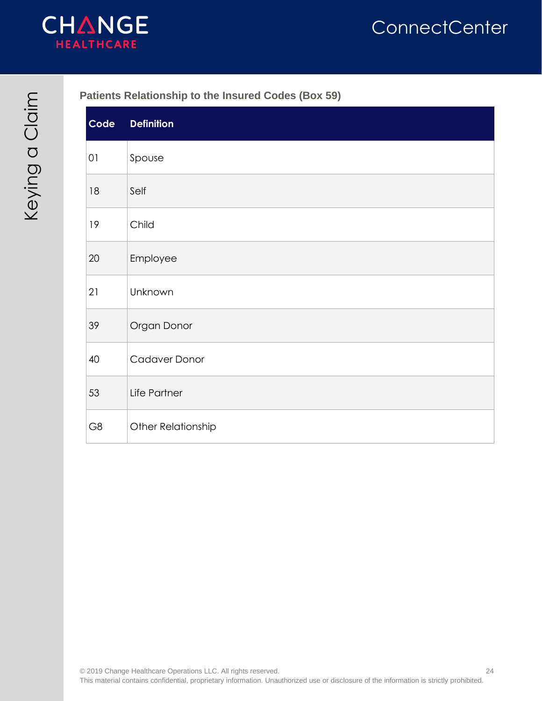

#### <span id="page-23-0"></span>**Patients Relationship to the Insured Codes (Box 59)**

| Code   | <b>Definition</b>  |
|--------|--------------------|
| $01$   | Spouse             |
| 18     | Self               |
| 19     | Child              |
| $20\,$ | Employee           |
| 21     | Unknown            |
| 39     | Organ Donor        |
| 40     | Cadaver Donor      |
| 53     | Life Partner       |
| G8     | Other Relationship |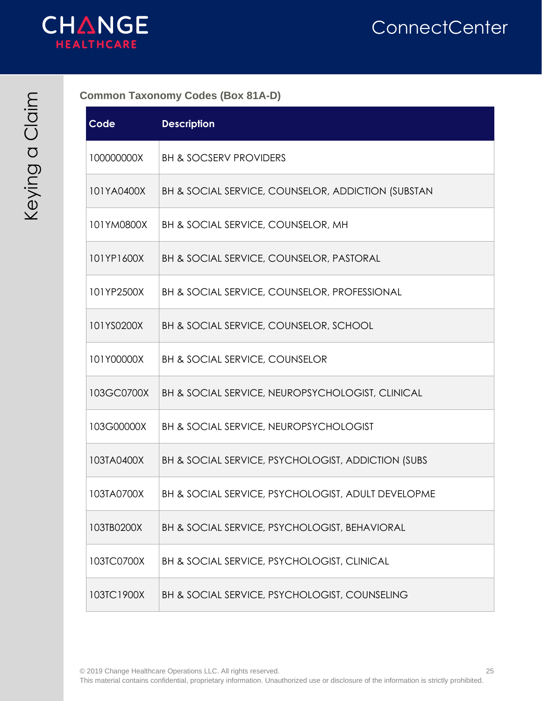

<span id="page-24-0"></span>**Common Taxonomy Codes (Box 81A-D)**

| Code       | <b>Description</b>                                      |
|------------|---------------------------------------------------------|
| 100000000X | <b>BH &amp; SOCSERV PROVIDERS</b>                       |
| 101YA0400X | BH & SOCIAL SERVICE, COUNSELOR, ADDICTION (SUBSTAN      |
| 101YM0800X | BH & SOCIAL SERVICE, COUNSELOR, MH                      |
| 101YP1600X | BH & SOCIAL SERVICE, COUNSELOR, PASTORAL                |
| 101YP2500X | <b>BH &amp; SOCIAL SERVICE, COUNSELOR, PROFESSIONAL</b> |
| 101YS0200X | BH & SOCIAL SERVICE, COUNSELOR, SCHOOL                  |
| 101Y00000X | <b>BH &amp; SOCIAL SERVICE, COUNSELOR</b>               |
| 103GC0700X | BH & SOCIAL SERVICE, NEUROPSYCHOLOGIST, CLINICAL        |
| 103G00000X | BH & SOCIAL SERVICE, NEUROPSYCHOLOGIST                  |
| 103TA0400X | BH & SOCIAL SERVICE, PSYCHOLOGIST, ADDICTION (SUBS      |
| 103TA0700X | BH & SOCIAL SERVICE, PSYCHOLOGIST, ADULT DEVELOPME      |
| 103TB0200X | BH & SOCIAL SERVICE, PSYCHOLOGIST, BEHAVIORAL           |
| 103TC0700X | BH & SOCIAL SERVICE, PSYCHOLOGIST, CLINICAL             |
| 103TC1900X | BH & SOCIAL SERVICE, PSYCHOLOGIST, COUNSELING           |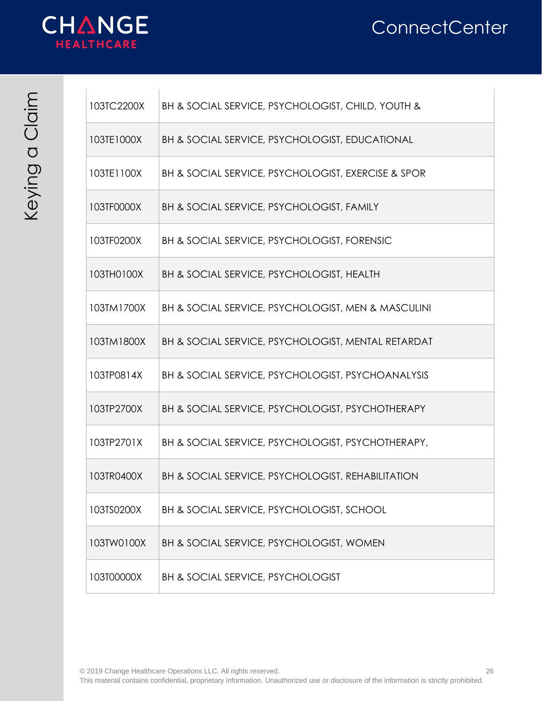

| 103TC2200X | BH & SOCIAL SERVICE, PSYCHOLOGIST, CHILD, YOUTH &           |
|------------|-------------------------------------------------------------|
| 103TE1000X | <b>BH &amp; SOCIAL SERVICE, PSYCHOLOGIST, EDUCATIONAL</b>   |
| 103TE1100X | BH & SOCIAL SERVICE, PSYCHOLOGIST, EXERCISE & SPOR          |
| 103TF0000X | <b>BH &amp; SOCIAL SERVICE, PSYCHOLOGIST, FAMILY</b>        |
| 103TF0200X | <b>BH &amp; SOCIAL SERVICE, PSYCHOLOGIST, FORENSIC</b>      |
| 103TH0100X | BH & SOCIAL SERVICE, PSYCHOLOGIST, HEALTH                   |
| 103TM1700X | BH & SOCIAL SERVICE, PSYCHOLOGIST, MEN & MASCULINI          |
| 103TM1800X | BH & SOCIAL SERVICE, PSYCHOLOGIST, MENTAL RETARDAT          |
| 103TP0814X | BH & SOCIAL SERVICE, PSYCHOLOGIST, PSYCHOANALYSIS           |
| 103TP2700X | <b>BH &amp; SOCIAL SERVICE, PSYCHOLOGIST, PSYCHOTHERAPY</b> |
| 103TP2701X | BH & SOCIAL SERVICE, PSYCHOLOGIST, PSYCHOTHERAPY,           |
| 103TR0400X | BH & SOCIAL SERVICE, PSYCHOLOGIST, REHABILITATION           |
| 103TS0200X | BH & SOCIAL SERVICE, PSYCHOLOGIST, SCHOOL                   |
| 103TW0100X | BH & SOCIAL SERVICE, PSYCHOLOGIST, WOMEN                    |
| 103T00000X | BH & SOCIAL SERVICE, PSYCHOLOGIST                           |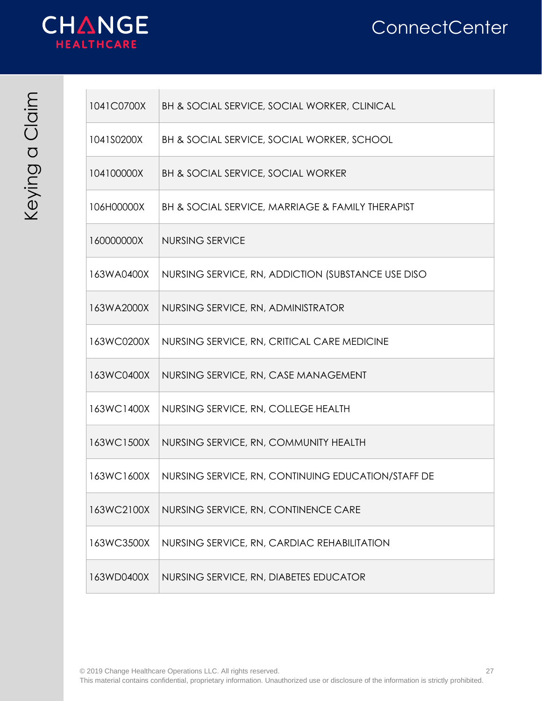



 $\sim$ 

| ξ                   |  |
|---------------------|--|
|                     |  |
| ไ                   |  |
| $\overline{C}$<br>D |  |
|                     |  |
|                     |  |

| 1041C0700X | BH & SOCIAL SERVICE, SOCIAL WORKER, CLINICAL       |
|------------|----------------------------------------------------|
| 1041S0200X | BH & SOCIAL SERVICE, SOCIAL WORKER, SCHOOL         |
| 104100000X | <b>BH &amp; SOCIAL SERVICE, SOCIAL WORKER</b>      |
| 106H00000X | BH & SOCIAL SERVICE, MARRIAGE & FAMILY THERAPIST   |
| 160000000X | <b>NURSING SERVICE</b>                             |
| 163WA0400X | NURSING SERVICE, RN, ADDICTION (SUBSTANCE USE DISO |
| 163WA2000X | NURSING SERVICE, RN, ADMINISTRATOR                 |
| 163WC0200X | NURSING SERVICE, RN, CRITICAL CARE MEDICINE        |
| 163WC0400X | NURSING SERVICE, RN, CASE MANAGEMENT               |
| 163WC1400X | NURSING SERVICE, RN, COLLEGE HEALTH                |
| 163WC1500X | NURSING SERVICE, RN, COMMUNITY HEALTH              |
| 163WC1600X | NURSING SERVICE, RN, CONTINUING EDUCATION/STAFF DE |
| 163WC2100X | NURSING SERVICE, RN, CONTINENCE CARE               |
| 163WC3500X | NURSING SERVICE, RN, CARDIAC REHABILITATION        |
| 163WD0400X | NURSING SERVICE, RN, DIABETES EDUCATOR             |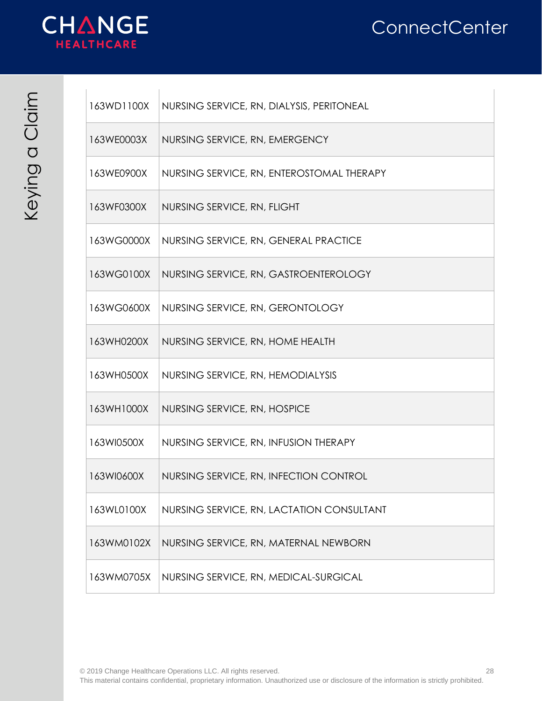

| 163WD1100X | NURSING SERVICE, RN, DIALYSIS, PERITONEAL |
|------------|-------------------------------------------|
| 163WE0003X | NURSING SERVICE, RN, EMERGENCY            |
| 163WE0900X | NURSING SERVICE, RN, ENTEROSTOMAL THERAPY |
| 163WF0300X | NURSING SERVICE, RN, FLIGHT               |
| 163WG0000X | NURSING SERVICE, RN, GENERAL PRACTICE     |
| 163WG0100X | NURSING SERVICE, RN, GASTROENTEROLOGY     |
| 163WG0600X | NURSING SERVICE, RN, GERONTOLOGY          |
| 163WH0200X | NURSING SERVICE, RN, HOME HEALTH          |
| 163WH0500X | NURSING SERVICE, RN, HEMODIALYSIS         |
| 163WH1000X | NURSING SERVICE, RN, HOSPICE              |
| 163WI0500X | NURSING SERVICE, RN, INFUSION THERAPY     |
| 163WI0600X | NURSING SERVICE, RN, INFECTION CONTROL    |
| 163WL0100X | NURSING SERVICE, RN, LACTATION CONSULTANT |
| 163WM0102X | NURSING SERVICE, RN, MATERNAL NEWBORN     |
| 163WM0705X | NURSING SERVICE, RN, MEDICAL-SURGICAL     |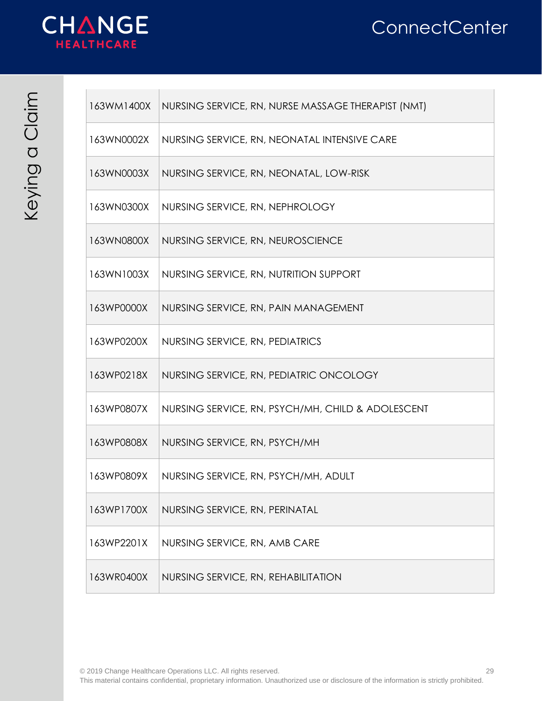

| 163WM1400X | NURSING SERVICE, RN, NURSE MASSAGE THERAPIST (NMT) |
|------------|----------------------------------------------------|
| 163WN0002X | NURSING SERVICE, RN, NEONATAL INTENSIVE CARE       |
| 163WN0003X | NURSING SERVICE, RN, NEONATAL, LOW-RISK            |
| 163WN0300X | NURSING SERVICE, RN, NEPHROLOGY                    |
| 163WN0800X | NURSING SERVICE, RN, NEUROSCIENCE                  |
| 163WN1003X | NURSING SERVICE, RN, NUTRITION SUPPORT             |
| 163WP0000X | NURSING SERVICE, RN, PAIN MANAGEMENT               |
| 163WP0200X | NURSING SERVICE, RN, PEDIATRICS                    |
| 163WP0218X | NURSING SERVICE, RN, PEDIATRIC ONCOLOGY            |
| 163WP0807X | NURSING SERVICE, RN, PSYCH/MH, CHILD & ADOLESCENT  |
| 163WP0808X | NURSING SERVICE, RN, PSYCH/MH                      |
| 163WP0809X | NURSING SERVICE, RN, PSYCH/MH, ADULT               |
| 163WP1700X | NURSING SERVICE, RN, PERINATAL                     |
| 163WP2201X | NURSING SERVICE, RN, AMB CARE                      |
| 163WR0400X | NURSING SERVICE, RN, REHABILITATION                |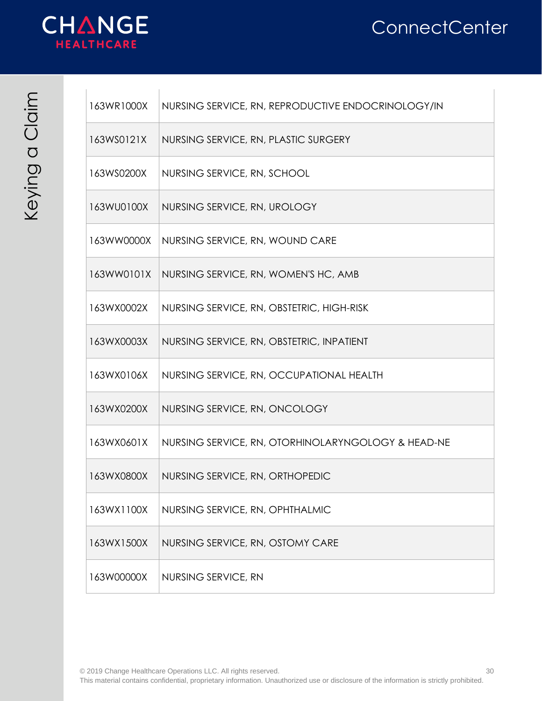

| 163WR1000X | NURSING SERVICE, RN, REPRODUCTIVE ENDOCRINOLOGY/IN |
|------------|----------------------------------------------------|
| 163WS0121X | NURSING SERVICE, RN, PLASTIC SURGERY               |
| 163WS0200X | NURSING SERVICE, RN, SCHOOL                        |
| 163WU0100X | NURSING SERVICE, RN, UROLOGY                       |
| 163WW0000X | NURSING SERVICE, RN, WOUND CARE                    |
| 163WW0101X | NURSING SERVICE, RN, WOMEN'S HC, AMB               |
| 163WX0002X | NURSING SERVICE, RN, OBSTETRIC, HIGH-RISK          |
| 163WX0003X | NURSING SERVICE, RN, OBSTETRIC, INPATIENT          |
| 163WX0106X | NURSING SERVICE, RN, OCCUPATIONAL HEALTH           |
| 163WX0200X | NURSING SERVICE, RN, ONCOLOGY                      |
| 163WX0601X | NURSING SERVICE, RN, OTORHINOLARYNGOLOGY & HEAD-NE |
| 163WX0800X | NURSING SERVICE, RN, ORTHOPEDIC                    |
| 163WX1100X | NURSING SERVICE, RN, OPHTHALMIC                    |
| 163WX1500X | NURSING SERVICE, RN, OSTOMY CARE                   |
| 163W00000X | NURSING SERVICE, RN                                |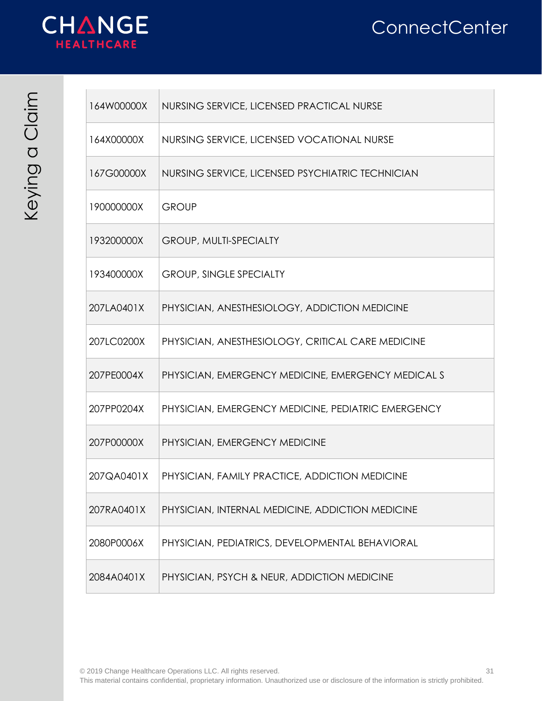



 $\mathbb{R}^n$  .

| ∤                       |  |
|-------------------------|--|
| ł                       |  |
| $\mathbf{\overline{O}}$ |  |
| <u>ර</u>                |  |
|                         |  |
|                         |  |

| 164W00000X | NURSING SERVICE, LICENSED PRACTICAL NURSE          |
|------------|----------------------------------------------------|
| 164X00000X | NURSING SERVICE, LICENSED VOCATIONAL NURSE         |
| 167G00000X | NURSING SERVICE, LICENSED PSYCHIATRIC TECHNICIAN   |
| 190000000X | <b>GROUP</b>                                       |
| 193200000X | <b>GROUP, MULTI-SPECIALTY</b>                      |
| 193400000X | <b>GROUP, SINGLE SPECIALTY</b>                     |
| 207LA0401X | PHYSICIAN, ANESTHESIOLOGY, ADDICTION MEDICINE      |
| 207LC0200X | PHYSICIAN, ANESTHESIOLOGY, CRITICAL CARE MEDICINE  |
| 207PE0004X | PHYSICIAN, EMERGENCY MEDICINE, EMERGENCY MEDICAL S |
| 207PP0204X | PHYSICIAN, EMERGENCY MEDICINE, PEDIATRIC EMERGENCY |
| 207P00000X | PHYSICIAN, EMERGENCY MEDICINE                      |
| 207QA0401X | PHYSICIAN, FAMILY PRACTICE, ADDICTION MEDICINE     |
| 207RA0401X | PHYSICIAN, INTERNAL MEDICINE, ADDICTION MEDICINE   |
| 2080P0006X | PHYSICIAN, PEDIATRICS, DEVELOPMENTAL BEHAVIORAL    |
| 2084A0401X | PHYSICIAN, PSYCH & NEUR, ADDICTION MEDICINE        |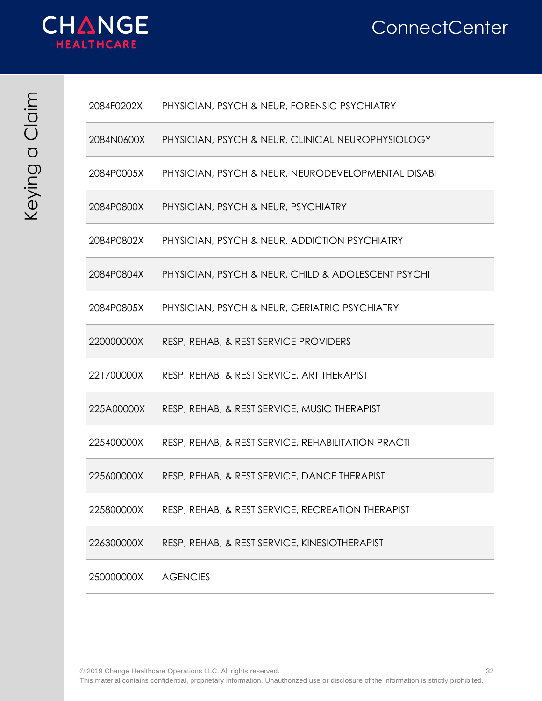



| {        |  |
|----------|--|
|          |  |
| ح        |  |
| <u>ර</u> |  |
|          |  |
|          |  |

| 2084F0202X | PHYSICIAN, PSYCH & NEUR, FORENSIC PSYCHIATRY       |
|------------|----------------------------------------------------|
| 2084N0600X | PHYSICIAN, PSYCH & NEUR, CLINICAL NEUROPHYSIOLOGY  |
| 2084P0005X | PHYSICIAN, PSYCH & NEUR, NEURODEVELOPMENTAL DISABI |
| 2084P0800X | PHYSICIAN, PSYCH & NEUR, PSYCHIATRY                |
| 2084P0802X | PHYSICIAN, PSYCH & NEUR, ADDICTION PSYCHIATRY      |
| 2084P0804X | PHYSICIAN, PSYCH & NEUR, CHILD & ADOLESCENT PSYCHI |
| 2084P0805X | PHYSICIAN, PSYCH & NEUR, GERIATRIC PSYCHIATRY      |
| 220000000X | RESP, REHAB, & REST SERVICE PROVIDERS              |
| 221700000X | RESP, REHAB, & REST SERVICE, ART THERAPIST         |
| 225A00000X | RESP, REHAB, & REST SERVICE, MUSIC THERAPIST       |
| 225400000X | RESP, REHAB, & REST SERVICE, REHABILITATION PRACTI |
| 225600000X | RESP, REHAB, & REST SERVICE, DANCE THERAPIST       |
| 225800000X | RESP, REHAB, & REST SERVICE, RECREATION THERAPIST  |
| 226300000X | RESP, REHAB, & REST SERVICE, KINESIOTHERAPIST      |
| 250000000X | <b>AGENCIES</b>                                    |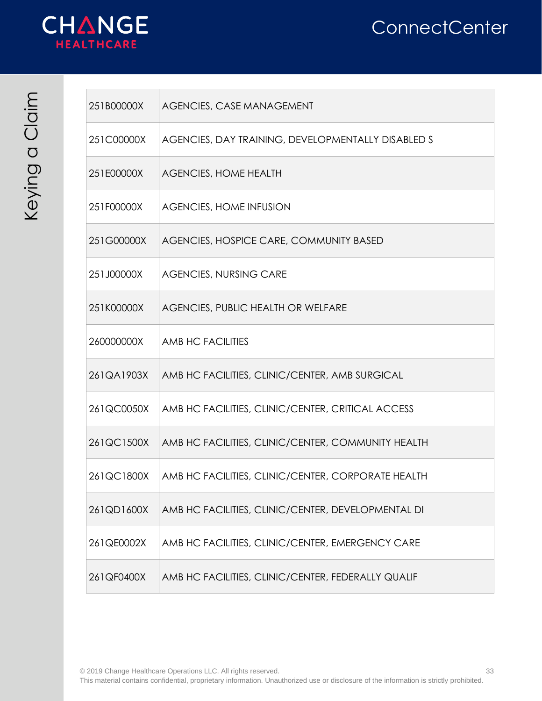

| 251B00000X | <b>AGENCIES, CASE MANAGEMENT</b>                   |
|------------|----------------------------------------------------|
| 251C00000X | AGENCIES, DAY TRAINING, DEVELOPMENTALLY DISABLED S |
| 251E00000X | <b>AGENCIES, HOME HEALTH</b>                       |
| 251F00000X | <b>AGENCIES, HOME INFUSION</b>                     |
| 251G00000X | AGENCIES, HOSPICE CARE, COMMUNITY BASED            |
| 251J00000X | <b>AGENCIES, NURSING CARE</b>                      |
| 251K00000X | AGENCIES, PUBLIC HEALTH OR WELFARE                 |
| 260000000X | <b>AMB HC FACILITIES</b>                           |
| 261QA1903X | AMB HC FACILITIES, CLINIC/CENTER, AMB SURGICAL     |
| 261QC0050X | AMB HC FACILITIES, CLINIC/CENTER, CRITICAL ACCESS  |
| 261QC1500X | AMB HC FACILITIES, CLINIC/CENTER, COMMUNITY HEALTH |
| 261QC1800X | AMB HC FACILITIES, CLINIC/CENTER, CORPORATE HEALTH |
| 261QD1600X | AMB HC FACILITIES, CLINIC/CENTER, DEVELOPMENTAL DI |
| 261QE0002X | AMB HC FACILITIES, CLINIC/CENTER, EMERGENCY CARE   |
| 261QF0400X | AMB HC FACILITIES, CLINIC/CENTER, FEDERALLY QUALIF |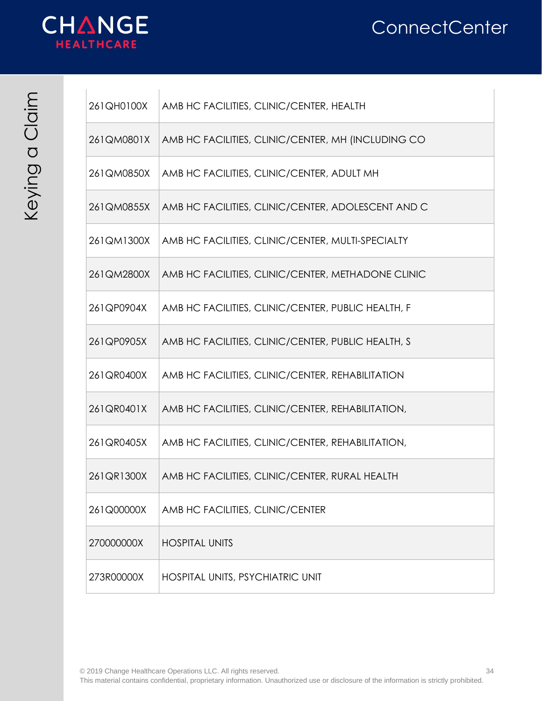



| }                              |  |
|--------------------------------|--|
| $\overline{\rm O}$<br><u>ර</u> |  |
|                                |  |

| 261QH0100X | AMB HC FACILITIES, CLINIC/CENTER, HEALTH           |
|------------|----------------------------------------------------|
| 261QM0801X | AMB HC FACILITIES, CLINIC/CENTER, MH (INCLUDING CO |
| 261QM0850X | AMB HC FACILITIES, CLINIC/CENTER, ADULT MH         |
| 261QM0855X | AMB HC FACILITIES, CLINIC/CENTER, ADOLESCENT AND C |
| 261QM1300X | AMB HC FACILITIES, CLINIC/CENTER, MULTI-SPECIALTY  |
| 261QM2800X | AMB HC FACILITIES, CLINIC/CENTER, METHADONE CLINIC |
| 261QP0904X | AMB HC FACILITIES, CLINIC/CENTER, PUBLIC HEALTH, F |
| 261QP0905X | AMB HC FACILITIES, CLINIC/CENTER, PUBLIC HEALTH, S |
| 261QR0400X | AMB HC FACILITIES, CLINIC/CENTER, REHABILITATION   |
| 261QR0401X | AMB HC FACILITIES, CLINIC/CENTER, REHABILITATION,  |
| 261QR0405X | AMB HC FACILITIES, CLINIC/CENTER, REHABILITATION,  |
| 261QR1300X | AMB HC FACILITIES, CLINIC/CENTER, RURAL HEALTH     |
| 261Q00000X | AMB HC FACILITIES, CLINIC/CENTER                   |
| 270000000X | <b>HOSPITAL UNITS</b>                              |
| 273R00000X | HOSPITAL UNITS, PSYCHIATRIC UNIT                   |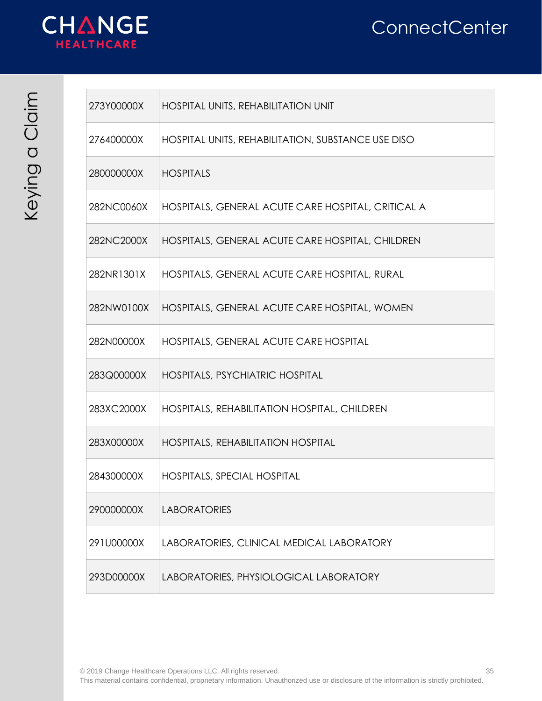



| $\{$    |  |
|---------|--|
|         |  |
| ٦<br>T  |  |
| O)<br>C |  |
|         |  |

| 273Y00000X | HOSPITAL UNITS, REHABILITATION UNIT                |
|------------|----------------------------------------------------|
| 276400000X | HOSPITAL UNITS, REHABILITATION, SUBSTANCE USE DISO |
| 280000000X | <b>HOSPITALS</b>                                   |
| 282NC0060X | HOSPITALS, GENERAL ACUTE CARE HOSPITAL, CRITICAL A |
| 282NC2000X | HOSPITALS, GENERAL ACUTE CARE HOSPITAL, CHILDREN   |
| 282NR1301X | HOSPITALS, GENERAL ACUTE CARE HOSPITAL, RURAL      |
| 282NW0100X | HOSPITALS, GENERAL ACUTE CARE HOSPITAL, WOMEN      |
| 282N00000X | HOSPITALS, GENERAL ACUTE CARE HOSPITAL             |
| 283Q00000X | HOSPITALS, PSYCHIATRIC HOSPITAL                    |
| 283XC2000X | HOSPITALS, REHABILITATION HOSPITAL, CHILDREN       |
| 283X00000X | <b>HOSPITALS, REHABILITATION HOSPITAL</b>          |
| 284300000X | <b>HOSPITALS, SPECIAL HOSPITAL</b>                 |
| 290000000X | <b>LABORATORIES</b>                                |
| 291U00000X | LABORATORIES, CLINICAL MEDICAL LABORATORY          |
| 293D00000X | LABORATORIES, PHYSIOLOGICAL LABORATORY             |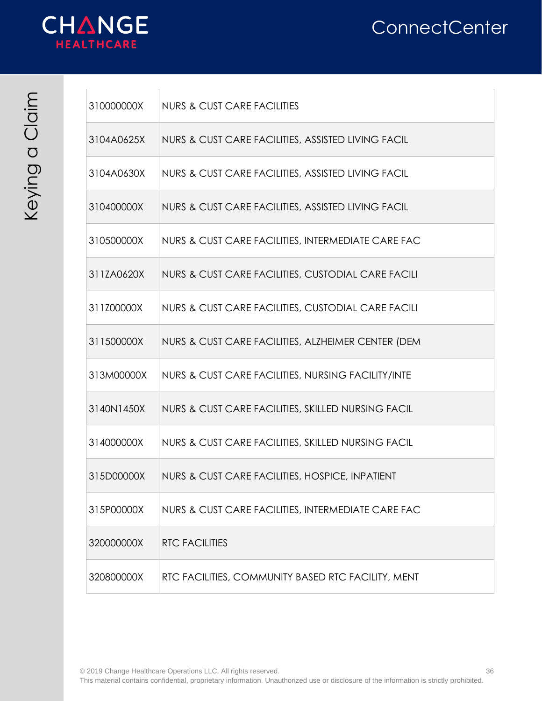

| 310000000X | <b>NURS &amp; CUST CARE FACILITIES</b>             |
|------------|----------------------------------------------------|
| 3104A0625X | NURS & CUST CARE FACILITIES, ASSISTED LIVING FACIL |
| 3104A0630X | NURS & CUST CARE FACILITIES, ASSISTED LIVING FACIL |
| 310400000X | NURS & CUST CARE FACILITIES, ASSISTED LIVING FACIL |
| 310500000X | NURS & CUST CARE FACILITIES, INTERMEDIATE CARE FAC |
| 311ZA0620X | NURS & CUST CARE FACILITIES, CUSTODIAL CARE FACILI |
| 311Z00000X | NURS & CUST CARE FACILITIES, CUSTODIAL CARE FACILI |
| 311500000X | NURS & CUST CARE FACILITIES, ALZHEIMER CENTER (DEM |
| 313M00000X | NURS & CUST CARE FACILITIES, NURSING FACILITY/INTE |
| 3140N1450X | NURS & CUST CARE FACILITIES, SKILLED NURSING FACIL |
| 314000000X | NURS & CUST CARE FACILITIES, SKILLED NURSING FACIL |
| 315D00000X | NURS & CUST CARE FACILITIES, HOSPICE, INPATIENT    |
| 315P00000X | NURS & CUST CARE FACILITIES, INTERMEDIATE CARE FAC |
| 320000000X | <b>RTC FACILITIES</b>                              |
| 320800000X | RTC FACILITIES, COMMUNITY BASED RTC FACILITY, MENT |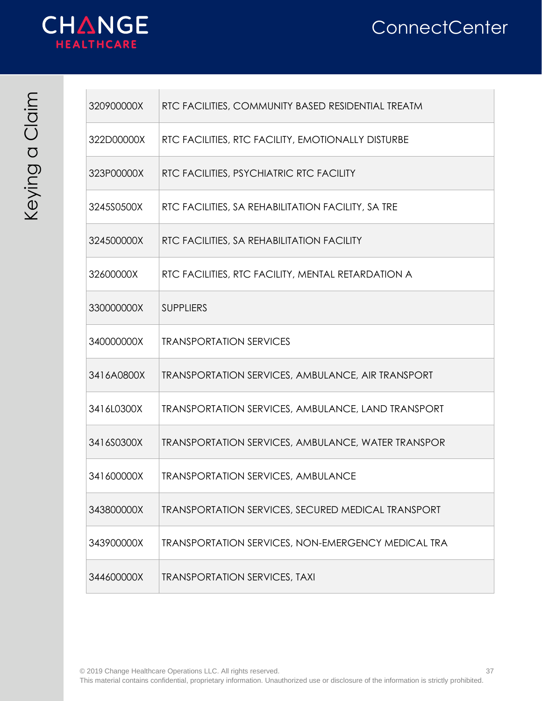



| $\mathbf{\hat{S}}$ |  |
|--------------------|--|
|                    |  |
| Ō                  |  |
| $\mathcal{O}$      |  |
|                    |  |

| 320900000X | RTC FACILITIES, COMMUNITY BASED RESIDENTIAL TREATM        |
|------------|-----------------------------------------------------------|
| 322D00000X | RTC FACILITIES, RTC FACILITY, EMOTIONALLY DISTURBE        |
| 323P00000X | RTC FACILITIES, PSYCHIATRIC RTC FACILITY                  |
| 3245S0500X | RTC FACILITIES, SA REHABILITATION FACILITY, SA TRE        |
| 324500000X | RTC FACILITIES, SA REHABILITATION FACILITY                |
| 32600000X  | RTC FACILITIES, RTC FACILITY, MENTAL RETARDATION A        |
| 330000000X | <b>SUPPLIERS</b>                                          |
| 340000000X | <b>TRANSPORTATION SERVICES</b>                            |
| 3416A0800X | <b>TRANSPORTATION SERVICES, AMBULANCE, AIR TRANSPORT</b>  |
| 3416L0300X | <b>TRANSPORTATION SERVICES, AMBULANCE, LAND TRANSPORT</b> |
| 3416S0300X | <b>TRANSPORTATION SERVICES, AMBULANCE, WATER TRANSPOR</b> |
| 341600000X | <b>TRANSPORTATION SERVICES, AMBULANCE</b>                 |
| 343800000X | <b>TRANSPORTATION SERVICES, SECURED MEDICAL TRANSPORT</b> |
| 343900000X | <b>TRANSPORTATION SERVICES, NON-EMERGENCY MEDICAL TRA</b> |
| 344600000X | <b>TRANSPORTATION SERVICES, TAXI</b>                      |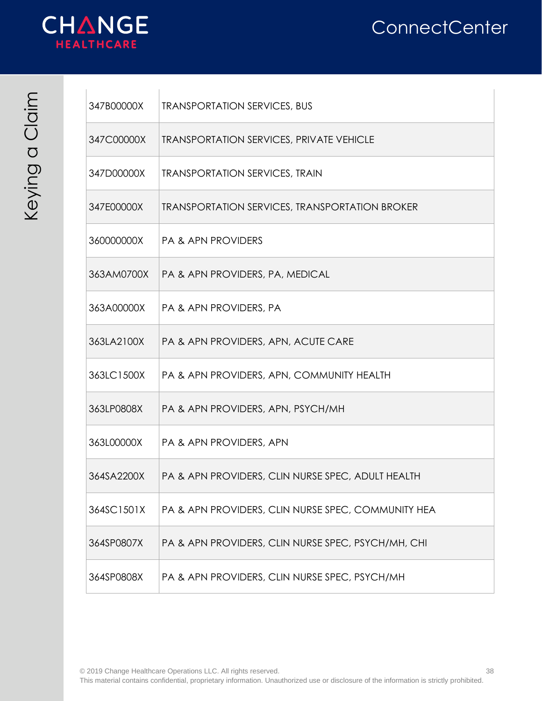

| 347B00000X | <b>TRANSPORTATION SERVICES, BUS</b>                   |
|------------|-------------------------------------------------------|
| 347C00000X | <b>TRANSPORTATION SERVICES, PRIVATE VEHICLE</b>       |
| 347D00000X | <b>TRANSPORTATION SERVICES, TRAIN</b>                 |
| 347E00000X | <b>TRANSPORTATION SERVICES, TRANSPORTATION BROKER</b> |
| 360000000X | <b>PA &amp; APN PROVIDERS</b>                         |
| 363AM0700X | PA & APN PROVIDERS, PA, MEDICAL                       |
| 363A00000X | <b>PA &amp; APN PROVIDERS, PA</b>                     |
| 363LA2100X | PA & APN PROVIDERS, APN, ACUTE CARE                   |
| 363LC1500X | PA & APN PROVIDERS, APN, COMMUNITY HEALTH             |
| 363LP0808X | PA & APN PROVIDERS, APN, PSYCH/MH                     |
| 363L00000X | PA & APN PROVIDERS, APN                               |
| 364SA2200X | PA & APN PROVIDERS, CLIN NURSE SPEC, ADULT HEALTH     |
| 364SC1501X | PA & APN PROVIDERS, CLIN NURSE SPEC, COMMUNITY HEA    |
| 364SP0807X | PA & APN PROVIDERS, CLIN NURSE SPEC, PSYCH/MH, CHI    |
| 364SP0808X | PA & APN PROVIDERS, CLIN NURSE SPEC, PSYCH/MH         |